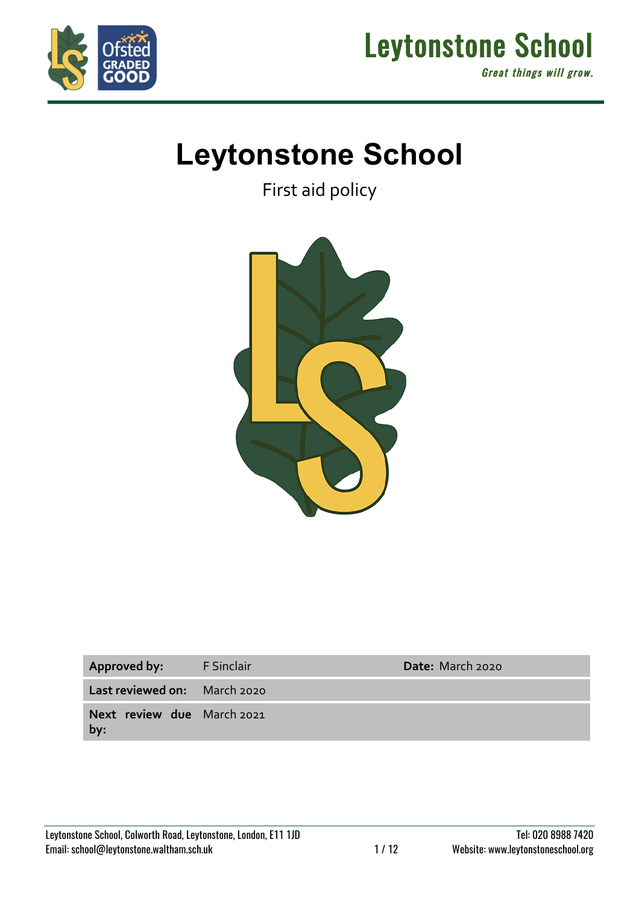



# **Leytonstone School**

First aid policy



| Approved by:                      | F Sinclair | <b>Date:</b> March 2020 |
|-----------------------------------|------------|-------------------------|
| Last reviewed on: March 2020      |            |                         |
| Next review due March 2021<br>by: |            |                         |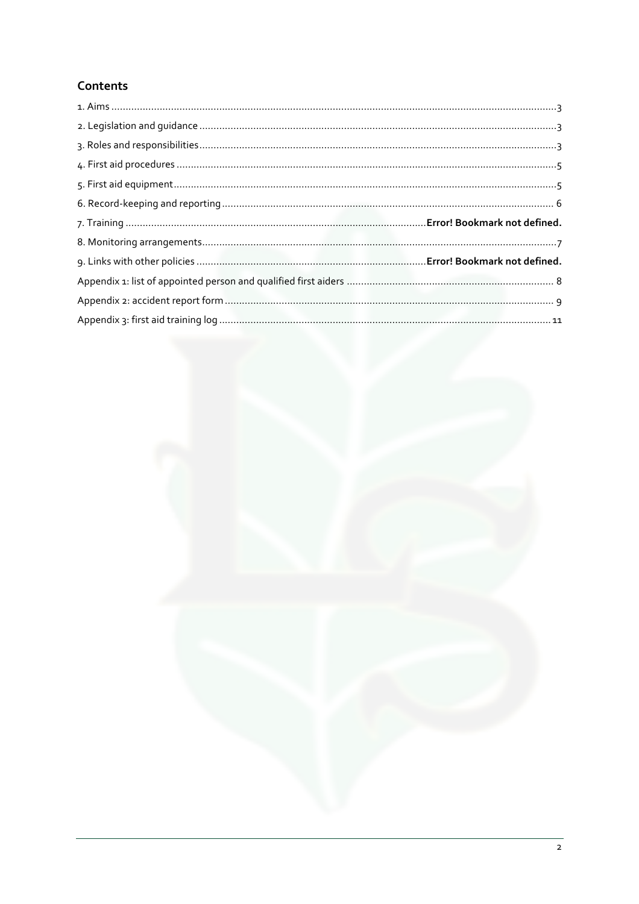## Contents

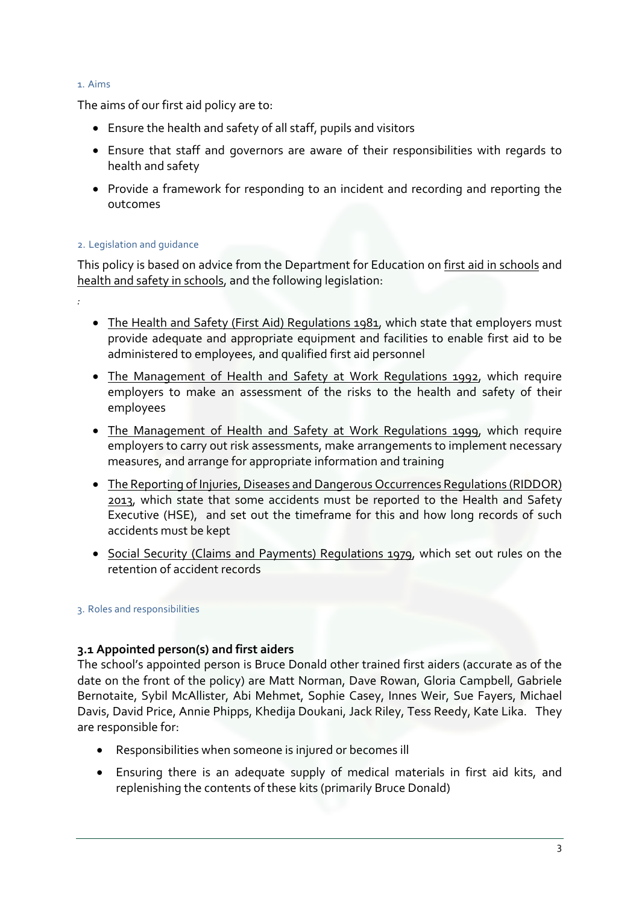#### 1. Aims

*:*

The aims of our first aid policy are to:

- Ensure the health and safety of all staff, pupils and visitors
- Ensure that staff and governors are aware of their responsibilities with regards to health and safety
- Provide a framework for responding to an incident and recording and reporting the outcomes

## 2. Legislation and guidance

This policy is based on advice from the Department for Education on first aid in schools and health and safety in schools, and the following legislation:

- The Health and Safety (First Aid) Regulations 1981, which state that employers must provide adequate and appropriate equipment and facilities to enable first aid to be administered to employees, and qualified first aid personnel
- The Management of Health and Safety at Work Regulations 1992, which require employers to make an assessment of the risks to the health and safety of their employees
- The Management of Health and Safety at Work Regulations 1999, which require employers to carry out risk assessments, make arrangements to implement necessary measures, and arrange for appropriate information and training
- The Reporting of Injuries, Diseases and Dangerous Occurrences Regulations (RIDDOR) 2013, which state that some accidents must be reported to the Health and Safety Executive (HSE), and set out the timeframe for this and how long records of such accidents must be kept
- Social Security (Claims and Payments) Regulations 1979, which set out rules on the retention of accident records

## 3. Roles and responsibilities

## **3.1 Appointed person(s) and first aiders**

The school's appointed person is Bruce Donald other trained first aiders (accurate as of the date on the front of the policy) are Matt Norman, Dave Rowan, Gloria Campbell, Gabriele Bernotaite, Sybil McAllister, Abi Mehmet, Sophie Casey, Innes Weir, Sue Fayers, Michael Davis, David Price, Annie Phipps, Khedija Doukani, Jack Riley, Tess Reedy, Kate Lika. They are responsible for:

- Responsibilities when someone is injured or becomes ill
- Ensuring there is an adequate supply of medical materials in first aid kits, and replenishing the contents of these kits (primarily Bruce Donald)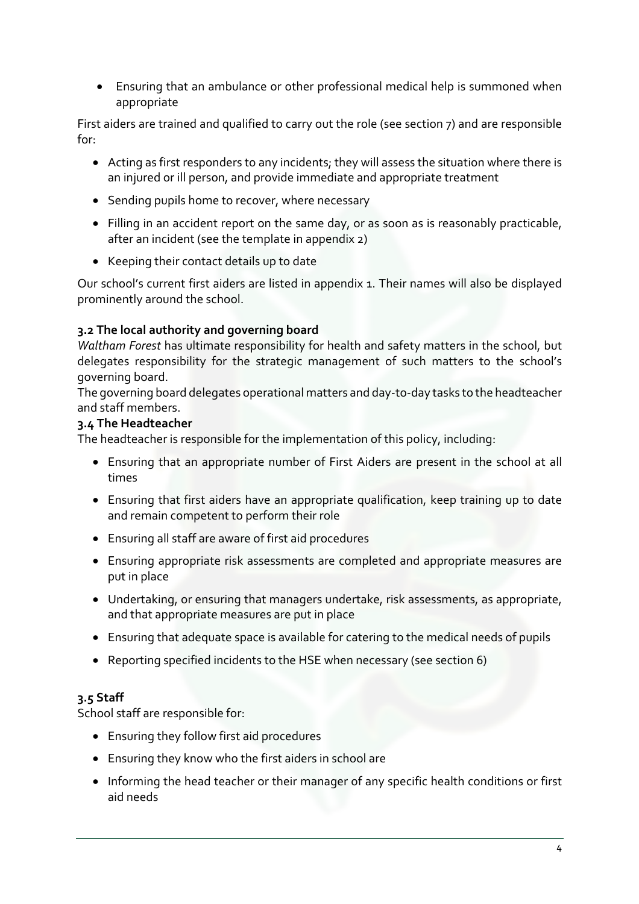• Ensuring that an ambulance or other professional medical help is summoned when appropriate

First aiders are trained and qualified to carry out the role (see section 7) and are responsible for:

- Acting as first responders to any incidents; they will assess the situation where there is an injured or ill person, and provide immediate and appropriate treatment
- Sending pupils home to recover, where necessary
- Filling in an accident report on the same day, or as soon as is reasonably practicable, after an incident (see the template in appendix 2)
- Keeping their contact details up to date

Our school's current first aiders are listed in appendix 1. Their names will also be displayed prominently around the school.

## **3.2 The local authority and governing board**

*Waltham Forest* has ultimate responsibility for health and safety matters in the school, but delegates responsibility for the strategic management of such matters to the school's governing board.

The governing board delegates operational matters and day-to-day tasks to the headteacher and staff members.

## **3.4 The Headteacher**

The headteacher is responsible for the implementation of this policy, including:

- Ensuring that an appropriate number of First Aiders are present in the school at all times
- Ensuring that first aiders have an appropriate qualification, keep training up to date and remain competent to perform their role
- Ensuring all staff are aware of first aid procedures
- Ensuring appropriate risk assessments are completed and appropriate measures are put in place
- Undertaking, or ensuring that managers undertake, risk assessments, as appropriate, and that appropriate measures are put in place
- Ensuring that adequate space is available for catering to the medical needs of pupils
- Reporting specified incidents to the HSE when necessary (see section 6)

## **3.5 Staff**

School staff are responsible for:

- Ensuring they follow first aid procedures
- Ensuring they know who the first aiders in school are
- Informing the head teacher or their manager of any specific health conditions or first aid needs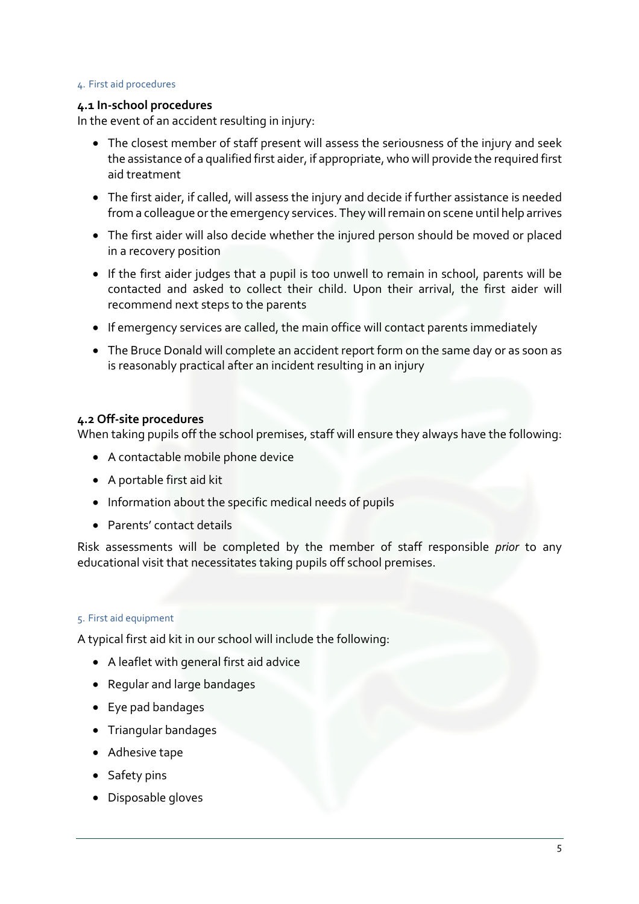#### 4. First aid procedures

#### **4.1 In-school procedures**

In the event of an accident resulting in injury:

- The closest member of staff present will assess the seriousness of the injury and seek the assistance of a qualified first aider, if appropriate, who will provide the required first aid treatment
- The first aider, if called, will assess the injury and decide if further assistance is needed from a colleague or the emergency services. They will remain on scene until help arrives
- The first aider will also decide whether the injured person should be moved or placed in a recovery position
- If the first aider judges that a pupil is too unwell to remain in school, parents will be contacted and asked to collect their child. Upon their arrival, the first aider will recommend next steps to the parents
- If emergency services are called, the main office will contact parents immediately
- The Bruce Donald will complete an accident report form on the same day or as soon as is reasonably practical after an incident resulting in an injury

#### **4.2 Off-site procedures**

When taking pupils off the school premises, staff will ensure they always have the following:

- A contactable mobile phone device
- A portable first aid kit
- Information about the specific medical needs of pupils
- Parents' contact details

Risk assessments will be completed by the member of staff responsible *prior* to any educational visit that necessitates taking pupils off school premises.

#### 5. First aid equipment

A typical first aid kit in our school will include the following:

- A leaflet with general first aid advice
- Regular and large bandages
- Eye pad bandages
- Triangular bandages
- Adhesive tape
- Safety pins
- Disposable gloves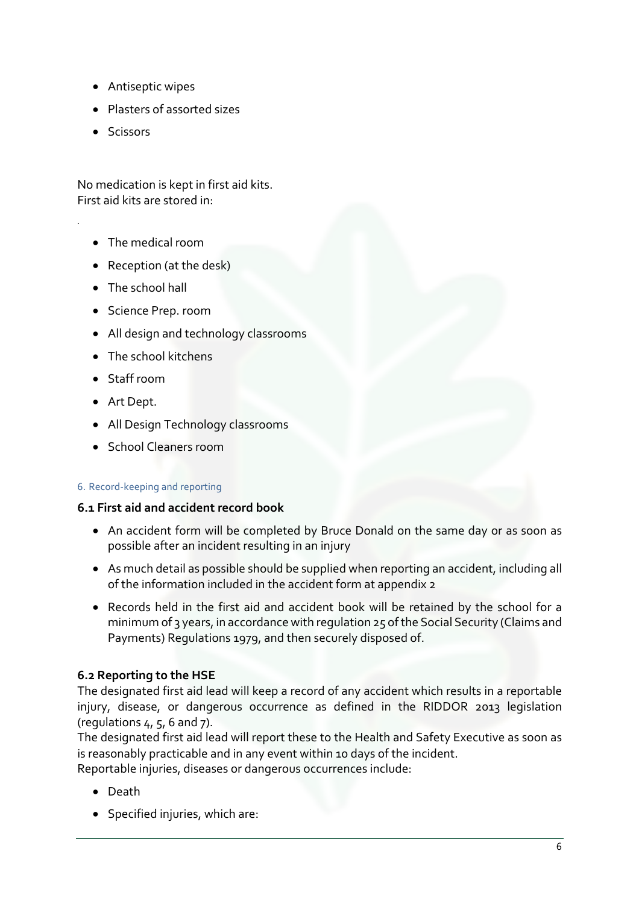- Antiseptic wipes
- Plasters of assorted sizes
- Scissors

*.*

No medication is kept in first aid kits. First aid kits are stored in:

- The medical room
- Reception (at the desk)
- The school hall
- Science Prep. room
- All design and technology classrooms
- The school kitchens
- Staff room
- Art Dept.
- All Design Technology classrooms
- School Cleaners room

## 6. Record-keeping and reporting

## **6.1 First aid and accident record book**

- An accident form will be completed by Bruce Donald on the same day or as soon as possible after an incident resulting in an injury
- As much detail as possible should be supplied when reporting an accident, including all of the information included in the accident form at appendix 2
- Records held in the first aid and accident book will be retained by the school for a minimum of 3 years, in accordance with regulation 25 of the Social Security (Claims and Payments) Regulations 1979, and then securely disposed of.

## **6.2 Reporting to the HSE**

The designated first aid lead will keep a record of any accident which results in a reportable injury, disease, or dangerous occurrence as defined in the RIDDOR 2013 legislation (regulations  $4, 5, 6$  and  $7$ ).

The designated first aid lead will report these to the Health and Safety Executive as soon as is reasonably practicable and in any event within 10 days of the incident.

Reportable injuries, diseases or dangerous occurrences include:

- Death
- Specified injuries, which are: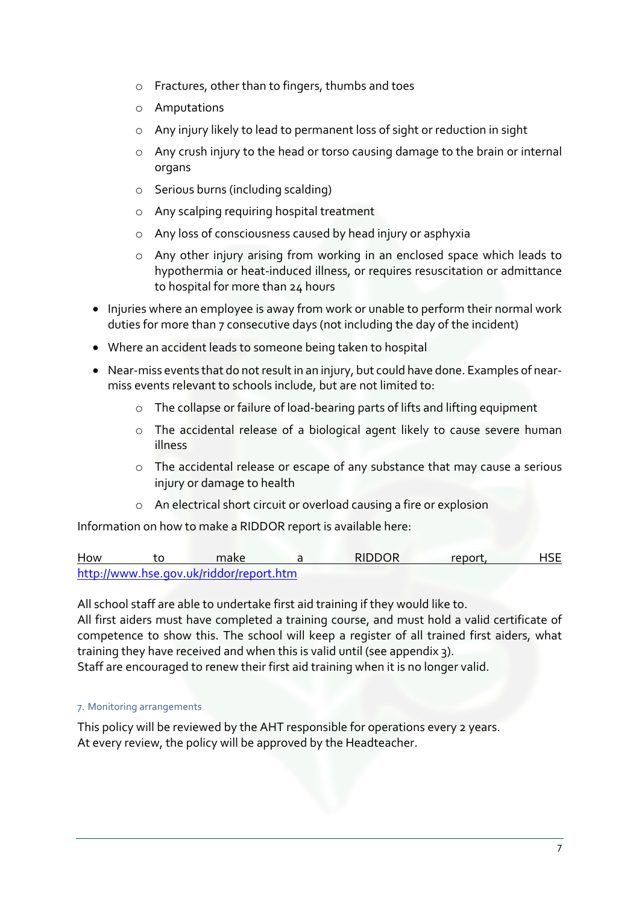- o Fractures, other than to fingers, thumbs and toes
- o Amputations
- o Any injury likely to lead to permanent loss of sight or reduction in sight
- o Any crush injury to the head or torso causing damage to the brain or internal organs
- o Serious burns (including scalding)
- o Any scalping requiring hospital treatment
- o Any loss of consciousness caused by head injury or asphyxia
- o Any other injury arising from working in an enclosed space which leads to hypothermia or heat-induced illness, or requires resuscitation or admittance to hospital for more than 24 hours
- Injuries where an employee is away from work or unable to perform their normal work duties for more than 7 consecutive days (not including the day of the incident)
- Where an accident leads to someone being taken to hospital
- Near-miss events that do not result in an injury, but could have done. Examples of nearmiss events relevant to schools include, but are not limited to:
	- o The collapse or failure of load-bearing parts of lifts and lifting equipment
	- o The accidental release of a biological agent likely to cause severe human illness
	- o The accidental release or escape of any substance that may cause a serious injury or damage to health
	- o An electrical short circuit or overload causing a fire or explosion

Information on how to make a RIDDOR report is available here:

How to make a RIDDOR report, HSE http://www.hse.gov.uk/riddor/report.htm

All school staff are able to undertake first aid training if they would like to.

All first aiders must have completed a training course, and must hold a valid certificate of competence to show this. The school will keep a register of all trained first aiders, what training they have received and when this is valid until (see appendix 3).

Staff are encouraged to renew their first aid training when it is no longer valid.

7. Monitoring arrangements

This policy will be reviewed by the AHT responsible for operations every 2 years. At every review, the policy will be approved by the Headteacher.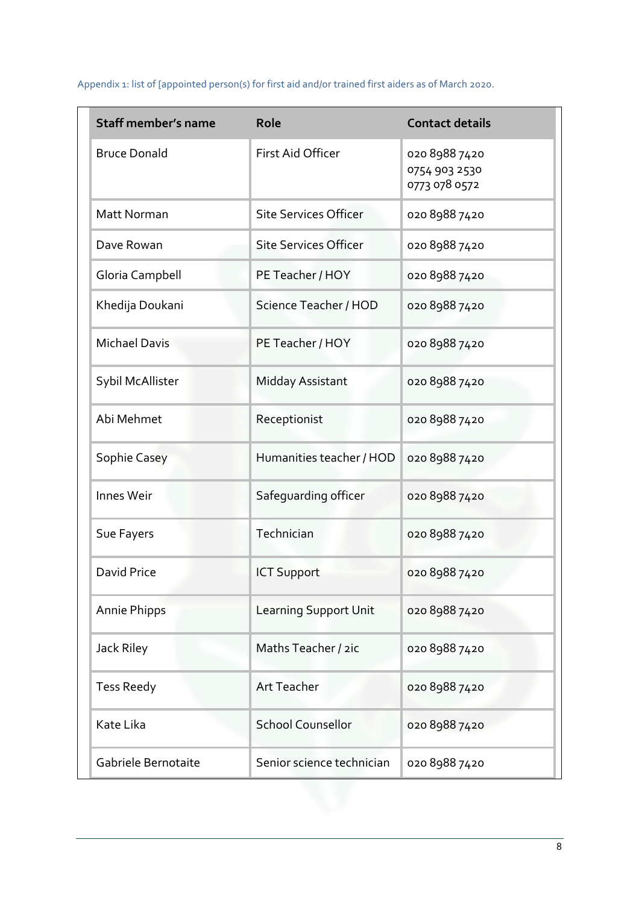**Staff member's name Role Role Role Contact details** Bruce Donald **First Aid Officer** 020 8988 7420 0754 903 2530 0773 078 0572 Matt Norman Site Services Officer 020 8988 7420 Dave Rowan Site Services Officer 020 8988 7420 Gloria Campbell PE Teacher / HOY 020 8988 7420 Khedija Doukani Science Teacher / HOD 020 8988 7420 Michael Davis PE Teacher / HOY 020 8988 7420 Sybil McAllister Midday Assistant 020 8988 7420 Abi Mehmet Receptionist and Receptionist and Reception Receptionist and Reception Reception Reception Reception Reception Reception Reception Reception Reception Reception Reception Reception Reception Reception Reception Sophie Casey Humanities teacher / HOD 020 8988 7420 Innes Weir Safeguarding officer 020 8988 7420 Sue Fayers Technician CO20 8988 7420 David Price ICT Support 020 8988 7420 Annie Phipps Learning Support Unit 020 8988 7420 Jack Riley Maths Teacher / 2ic 020 8988 7420 Tess Reedy **Art Teacher** 020 8988 7420 Kate Lika School Counsellor 020 8988 7420 Gabriele Bernotaite Senior science technician 020 8988 7420

Appendix 1: list of [appointed person(s) for first aid and/or trained first aiders as of March 2020.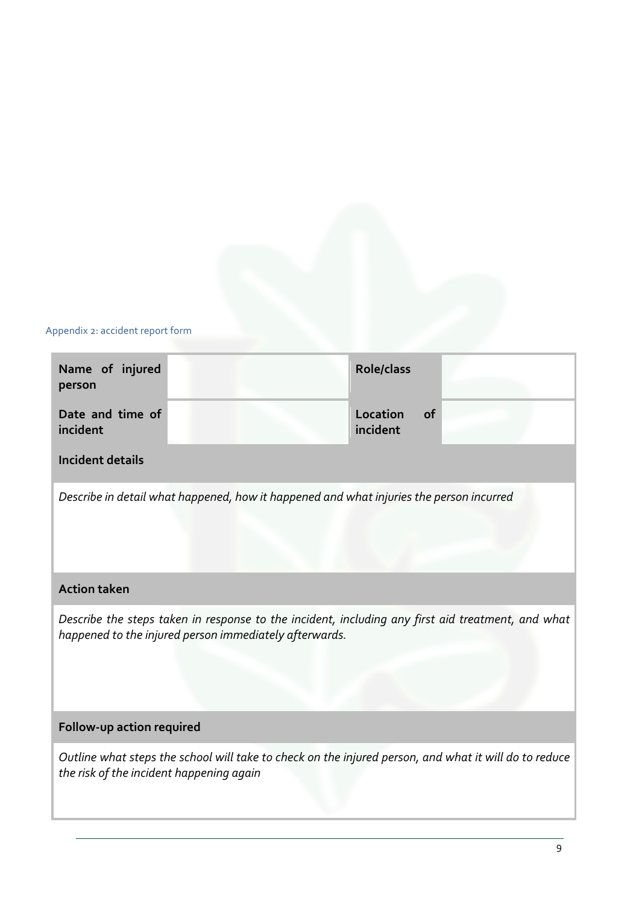## Appendix 2: accident report form

| Name of injured<br>person                                                                                                                                   |                                                                                         | <b>Role/class</b>                 |  |  |
|-------------------------------------------------------------------------------------------------------------------------------------------------------------|-----------------------------------------------------------------------------------------|-----------------------------------|--|--|
| Date and time of<br>incident                                                                                                                                |                                                                                         | Location<br><b>of</b><br>incident |  |  |
| <b>Incident details</b>                                                                                                                                     |                                                                                         |                                   |  |  |
|                                                                                                                                                             | Describe in detail what happened, how it happened and what injuries the person incurred |                                   |  |  |
|                                                                                                                                                             |                                                                                         |                                   |  |  |
| <b>Action taken</b>                                                                                                                                         |                                                                                         |                                   |  |  |
| Describe the steps taken in response to the incident, including any first aid treatment, and what<br>happened to the injured person immediately afterwards. |                                                                                         |                                   |  |  |
| Follow-up action required                                                                                                                                   |                                                                                         |                                   |  |  |
| Outline what steps the school will take to check on the injured person, and what it will do to reduce<br>the risk of the incident happening again           |                                                                                         |                                   |  |  |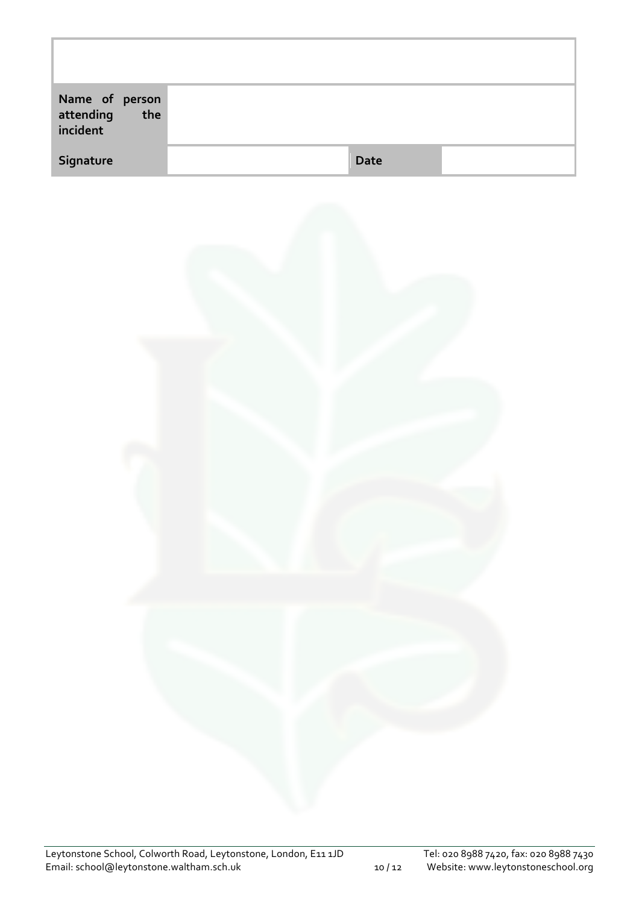| Name of person<br>attending the<br>incident |             |  |
|---------------------------------------------|-------------|--|
| Signature                                   | <b>Date</b> |  |

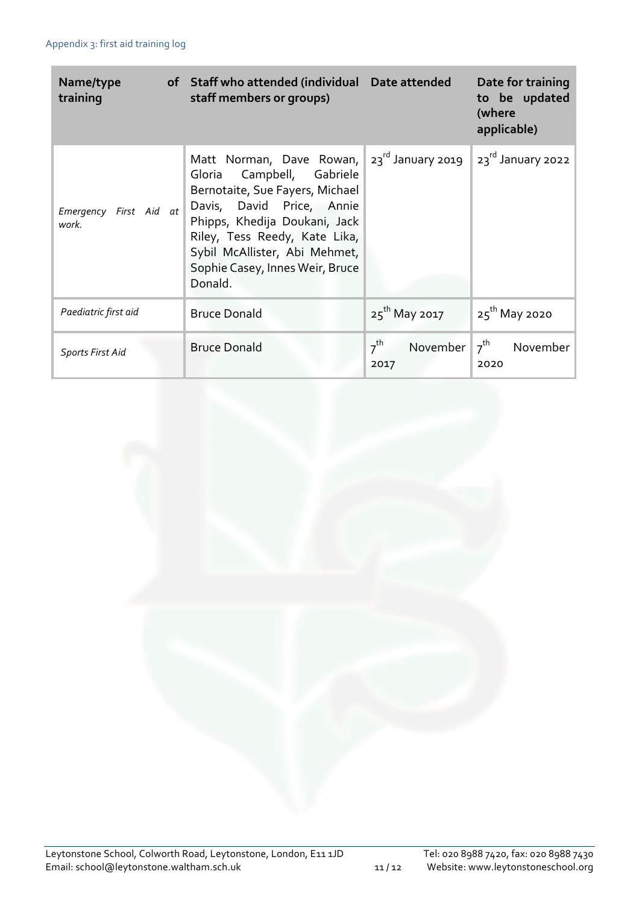| Name/type<br>training           | of Staff who attended (individual<br>staff members or groups)                                                                                                                                                                                                          | Date attended                       | Date for training<br>to be updated<br>(where<br>applicable) |
|---------------------------------|------------------------------------------------------------------------------------------------------------------------------------------------------------------------------------------------------------------------------------------------------------------------|-------------------------------------|-------------------------------------------------------------|
| Emergency First Aid at<br>work. | Matt Norman, Dave Rowan,<br>Gloria Campbell, Gabriele<br>Bernotaite, Sue Fayers, Michael<br>Davis, David Price, Annie<br>Phipps, Khedija Doukani, Jack<br>Riley, Tess Reedy, Kate Lika,<br>Sybil McAllister, Abi Mehmet,<br>Sophie Casey, Innes Weir, Bruce<br>Donald. | $23^{\text{rd}}$ January 2019       | 23rd January 2022                                           |
| Paediatric first aid            | <b>Bruce Donald</b>                                                                                                                                                                                                                                                    | $25^{th}$ May 2017                  | $25^{th}$ May 2020                                          |
| <b>Sports First Aid</b>         | <b>Bruce Donald</b>                                                                                                                                                                                                                                                    | $7^{\text{th}}$<br>November<br>2017 | $7th$ November<br>2020                                      |